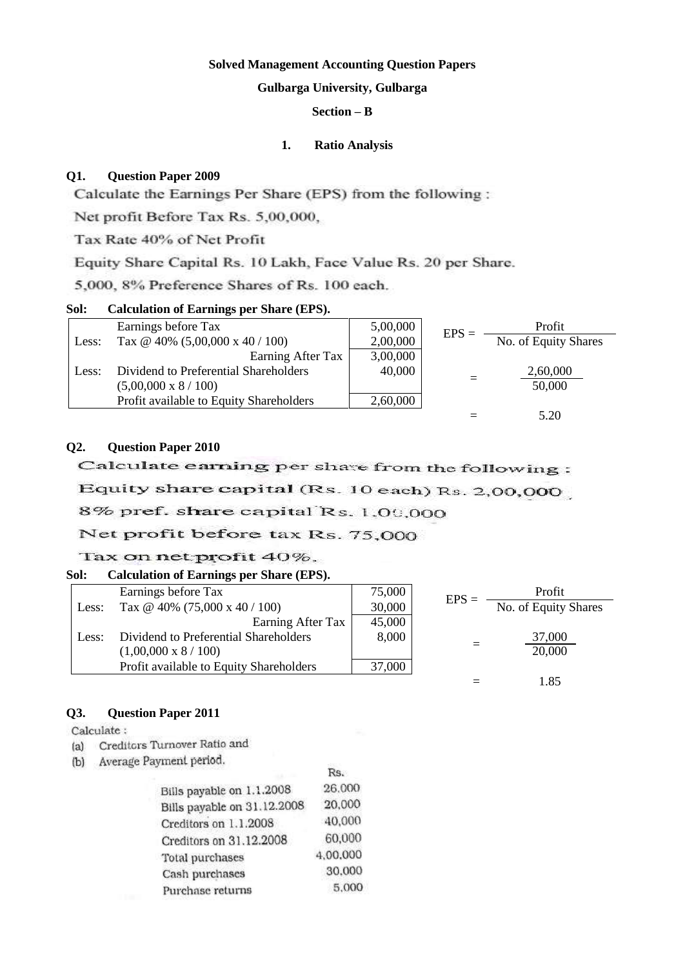# **Solved Management Accounting Question Papers**

# **Gulbarga University, Gulbarga**

# **Section – B**

### **1. Ratio Analysis**

### **Q1. Question Paper 2009**

Calculate the Earnings Per Share (EPS) from the following:

Net profit Before Tax Rs. 5,00,000,

Tax Rate 40% of Net Profit

Equity Share Capital Rs. 10 Lakh, Face Value Rs. 20 per Share.

5,000, 8% Preference Shares of Rs. 100 each.

### **Sol: Calculation of Earnings per Share (EPS).**

|       | Earnings before Tax                     | 5,00,000 | $EPS =$ | Profit               |
|-------|-----------------------------------------|----------|---------|----------------------|
| Less: | Tax @ 40% $(5,00,000 \times 40 / 100)$  | 2,00,000 |         | No. of Equity Shares |
|       | Earning After Tax                       | 3,00,000 |         |                      |
| Less: | Dividend to Preferential Shareholders   | 40,000   |         | 2,60,000             |
|       | $(5,00,000 \times 8 / 100)$             |          |         | 50,000               |
|       | Profit available to Equity Shareholders | 2,60,000 |         |                      |
|       |                                         |          |         | 5.20                 |

# **Q2. Question Paper 2010**

Calculate earning per share from the following:

Equity share capital (Rs. 10 each) Rs. 2,00,000

# 8% pref. share capital Rs. 1.00,000

# Net profit before tax Rs. 75,000

# Tax on net profit 40%.

# **Sol: Calculation of Earnings per Share (EPS).**

|       | Earnings before Tax                     | 75,000 | $EPS =$ | Profit               |
|-------|-----------------------------------------|--------|---------|----------------------|
| Less: | Tax @ 40% $(75,000 \times 40 / 100)$    | 30,000 |         | No. of Equity Shares |
|       | Earning After Tax                       | 45,000 |         |                      |
| Less: | Dividend to Preferential Shareholders   | 8,000  |         | 37,000               |
|       | $(1,00,000 \times 8 / 100)$             |        |         | 20,000               |
|       | Profit available to Equity Shareholders | 37,000 |         |                      |
|       |                                         |        |         | 1.85                 |

# **Q3. Question Paper 2011**

Calculate:

- (a) Creditors Turnover Ratio and
- (b) Average Payment period.

| <b>ATTACHED PLATTALITY</b>  | Rs.      |
|-----------------------------|----------|
| Bills payable on 1.1.2008   | 26,000   |
| Bills payable on 31.12.2008 | 20,000   |
| Creditors on 1.1.2008       | 40,000   |
| Creditors on 31.12.2008     | 60,000   |
| Total purchases             | 4.00.000 |
| Cash purchases              | 30,000   |
| Purchase returns            | 5,000    |
|                             |          |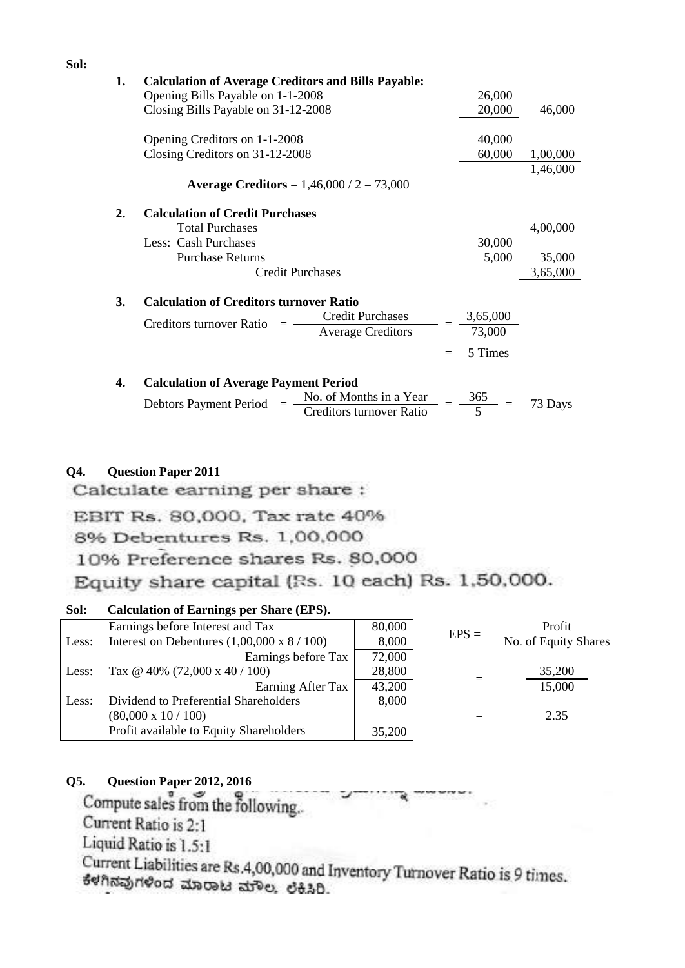| 1. | <b>Calculation of Average Creditors and Bills Payable:</b>                    |     |                           |          |
|----|-------------------------------------------------------------------------------|-----|---------------------------|----------|
|    | Opening Bills Payable on 1-1-2008                                             |     | 26,000                    |          |
|    | Closing Bills Payable on 31-12-2008                                           |     | 20,000                    | 46,000   |
|    | Opening Creditors on 1-1-2008                                                 |     | 40,000                    |          |
|    | Closing Creditors on 31-12-2008                                               |     | 60,000                    | 1,00,000 |
|    |                                                                               |     |                           | 1,46,000 |
|    | <b>Average Creditors</b> = $1,46,000 / 2 = 73,000$                            |     |                           |          |
| 2. | <b>Calculation of Credit Purchases</b>                                        |     |                           |          |
|    | <b>Total Purchases</b>                                                        |     |                           | 4,00,000 |
|    | Less: Cash Purchases                                                          |     | 30,000                    |          |
|    | <b>Purchase Returns</b>                                                       |     | 5,000                     | 35,000   |
|    | <b>Credit Purchases</b>                                                       |     |                           | 3,65,000 |
| 3. | <b>Calculation of Creditors turnover Ratio</b>                                |     |                           |          |
|    | <b>Credit Purchases</b>                                                       |     |                           |          |
|    | Creditors turnover Ratio<br><b>Average Creditors</b>                          |     | $\frac{3,65,000}{73,000}$ |          |
|    |                                                                               | $=$ | 5 Times                   |          |
| 4. | <b>Calculation of Average Payment Period</b>                                  |     |                           |          |
|    | No. of Months in a Year<br>Creditors turnover Ratio<br>Debtors Payment Period |     | $\frac{365}{5}$           | 73 Days  |

# **Q4. Question Paper 2011**

Calculate earning per share:

EBIT Rs. 80,000, Tax rate 40%

8% Debentures Rs. 1,00,000

10% Preference shares Rs. 80,000

Equity share capital (Rs. 10 each) Rs. 1,50,000.

# **Sol: Calculation of Earnings per Share (EPS).**

|       | Earnings before Interest and Tax                   | 80,000 | $EPS =$ | Profit               |
|-------|----------------------------------------------------|--------|---------|----------------------|
| Less: | Interest on Debentures $(1,00,000 \times 8 / 100)$ | 8,000  |         | No. of Equity Shares |
|       | Earnings before Tax                                | 72,000 |         |                      |
| Less: | Tax @ 40% (72,000 x 40 / 100)                      | 28,800 |         | 35,200               |
|       | Earning After Tax                                  | 43,200 |         | 15,000               |
| Less: | Dividend to Preferential Shareholders              | 8,000  |         |                      |
|       | $(80,000 \times 10 / 100)$                         |        |         | 2.35                 |
|       | Profit available to Equity Shareholders            | 35,200 |         |                      |

Q5. Question Paper 2012, 2016<br>Compute sales from the following.

Current Ratio is 2:1

Liquid Ratio is 1.5:1

Current Liabilities are Rs.4,00,000 and Inventory Turnover Ratio is 9 times. ಕೆಳಗಿನವುಗಳಿಂದ ಮಾರಾಟ ಮೌಲ. ಲೆಕಿಸಿರಿ.

**Sol:**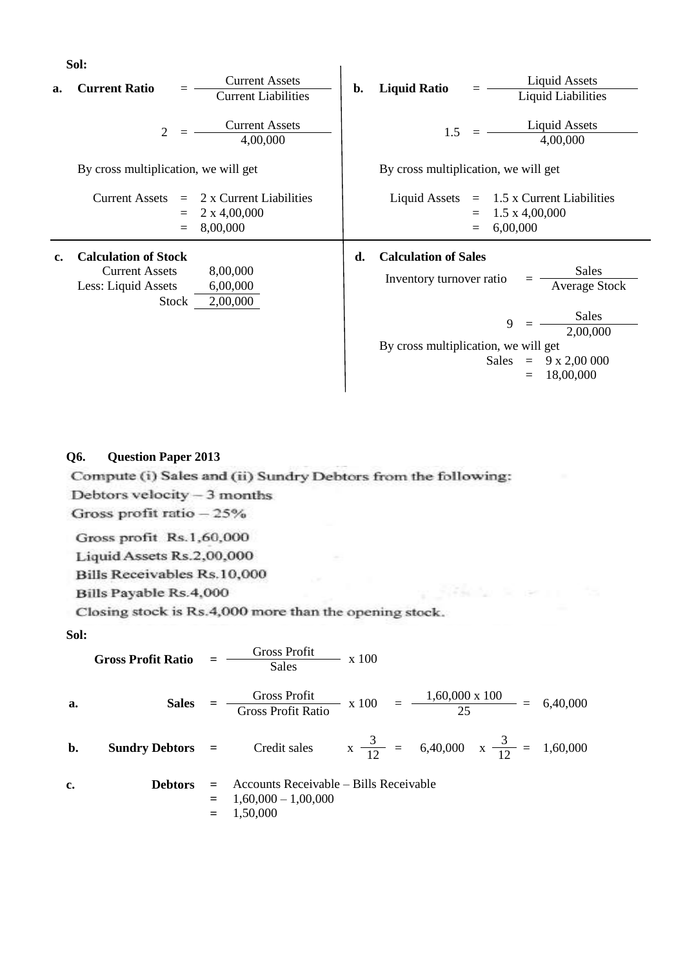**Sol:**

|    | Sol:                                                                                                                     |    |                                                                                                                                                                                                                        |
|----|--------------------------------------------------------------------------------------------------------------------------|----|------------------------------------------------------------------------------------------------------------------------------------------------------------------------------------------------------------------------|
| a. | <b>Current Assets</b><br><b>Current Ratio</b><br><b>Current Liabilities</b>                                              | b. | <b>Liquid Assets</b><br><b>Liquid Ratio</b><br><b>Liquid Liabilities</b>                                                                                                                                               |
|    | <b>Current Assets</b><br>$\mathbf{2}$<br>4,00,000                                                                        |    | <b>Liquid Assets</b><br>1.5<br>4,00,000                                                                                                                                                                                |
|    | By cross multiplication, we will get                                                                                     |    | By cross multiplication, we will get                                                                                                                                                                                   |
|    | <b>Current Assets</b><br>2 x Current Liabilities<br>$\equiv$<br>$2 \times 4,00,000$<br>8,00,000<br>$=$                   |    | <b>Liquid Assets</b><br>1.5 x Current Liabilities<br>$\equiv$<br>$1.5 \times 4,00,000$<br>$\equiv$<br>6,00,000<br>$=$                                                                                                  |
| c. | <b>Calculation of Stock</b><br>8,00,000<br><b>Current Assets</b><br>Less: Liquid Assets<br>6,00,000<br>2,00,000<br>Stock | d. | <b>Calculation of Sales</b><br>Sales<br>Inventory turnover ratio<br><b>Average Stock</b><br>Sales<br>9<br>2,00,000<br>By cross multiplication, we will get<br>Sales<br>$9 \times 2,00\,000$<br>$=$<br>18,00,000<br>$=$ |

# **Q6. Question Paper 2013**

Compute (i) Sales and (ii) Sundry Debtors from the following:

Debtors velocity - 3 months

Gross profit ratio - 25%

Gross profit Rs.1,60,000

Liquid Assets Rs.2,00,000

Bills Receivables Rs.10,000

Bills Payable Rs.4,000

Closing stock is Rs.4,000 more than the opening stock.

**Sol:**

**Gross Profit Ratio** = 
$$
\frac{\text{Gross Profit}}{\text{Sales}}
$$
 x 100  
\na. **Sales** =  $\frac{\text{Gross Profit}}{\text{Gross Profit Ratio}}$  x 100 =  $\frac{1,60,000 \times 100}{25}$  = 6,40,000  
\nb. **Sundry Debtors** = Credit sales  $x \frac{3}{12}$  = 6,40,000  $x \frac{3}{12}$  = 1,60,000  
\nc. **Debtors** = Accounts Receiverable – Bills Receiverable  
\n= 1,60,000 – 1,00,000  
\n= 1,50,000

a 1994 da Seriam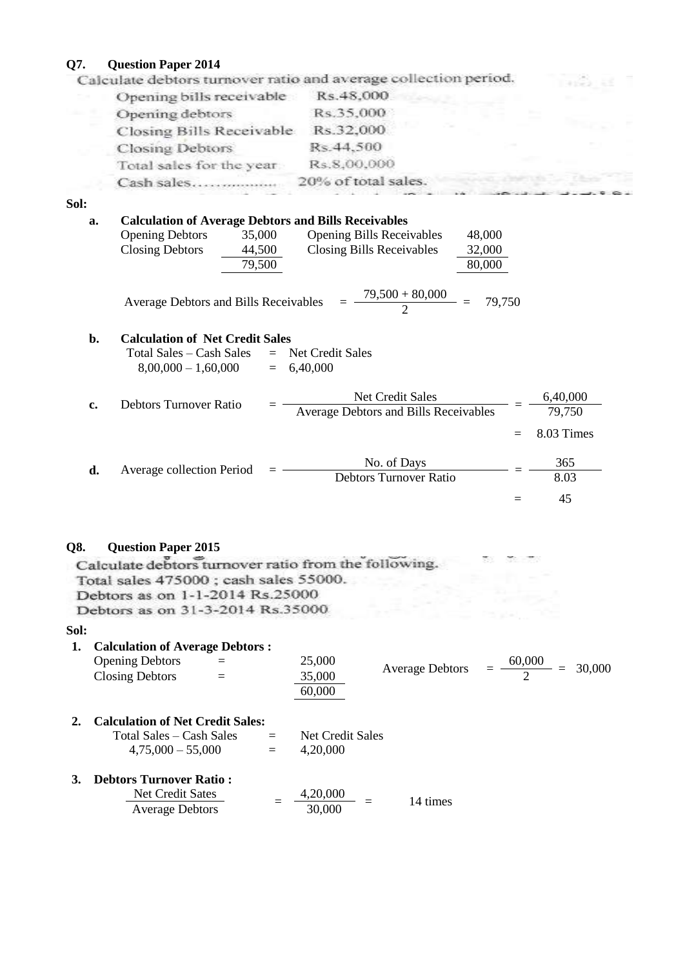**Q7. Question Paper 2014**

| Opening bills receivable  | Rs.48,000           |  |  |
|---------------------------|---------------------|--|--|
| Opening debtors           | Rs.35,000           |  |  |
| Closing Bills Receivable  | Rs.32,000           |  |  |
| <b>Closing Debtors</b>    | Rs.44,500           |  |  |
| Total sales for the year. | Rs.8,00,000         |  |  |
| Cash sales                | 20% of total sales. |  |  |
|                           |                     |  |  |

**Sol:**

| п. |                                                                                                                                                                                                                                              |     |                                  |
|----|----------------------------------------------------------------------------------------------------------------------------------------------------------------------------------------------------------------------------------------------|-----|----------------------------------|
| a. | <b>Calculation of Average Debtors and Bills Receivables</b><br><b>Opening Debtors</b><br><b>Opening Bills Receivables</b><br>35,000<br>48,000<br><b>Closing Debtors</b><br>Closing Bills Receivables<br>44,500<br>32,000<br>79,500<br>80,000 |     |                                  |
|    | $\frac{79,500 + 80,000}{2}$<br>79,750<br><b>Average Debtors and Bills Receivables</b>                                                                                                                                                        |     |                                  |
| b. | <b>Calculation of Net Credit Sales</b><br>Total Sales – Cash Sales<br>Net Credit Sales<br>$=$<br>$8,00,000 - 1,60,000$<br>6,40,000<br>$=$                                                                                                    |     |                                  |
| c. | <b>Net Credit Sales</b><br>Debtors Turnover Ratio<br>Average Debtors and Bills Receivables                                                                                                                                                   | $=$ | 6,40,000<br>79,750<br>8.03 Times |
| d. | No. of Days<br>Average collection Period<br><b>Debtors Turnover Ratio</b>                                                                                                                                                                    |     | 365<br>8.03<br>45                |
|    |                                                                                                                                                                                                                                              |     |                                  |

Q8. Question Paper 2015<br>Calculate debtors turnover ratio from the following. Total sales 475000; cash sales 55000.<br>Debtors as on 1-1-2014 Rs.25000. **Debtors as on 31-3-2014 Rs.35000**<br>Sol:

| 1. | <b>Calculation of Average Debtors:</b><br><b>Opening Debtors</b> |     | 25,000           |                        | 60,000 |        |
|----|------------------------------------------------------------------|-----|------------------|------------------------|--------|--------|
|    | <b>Closing Debtors</b>                                           |     | 35,000           | <b>Average Debtors</b> | $=$    | 30,000 |
|    |                                                                  |     | 60,000           |                        |        |        |
|    | <b>Calculation of Net Credit Sales:</b>                          |     |                  |                        |        |        |
|    | Total Sales – Cash Sales                                         | $=$ | Net Credit Sales |                        |        |        |
|    | $4,75,000 - 55,000$                                              | $=$ | 4,20,000         |                        |        |        |
| 3. | <b>Debtors Turnover Ratio:</b>                                   |     |                  |                        |        |        |
|    | <b>Net Credit Sates</b>                                          |     | 4,20,000         | 14 times               |        |        |
|    | <b>Average Debtors</b>                                           |     | 30,000           |                        |        |        |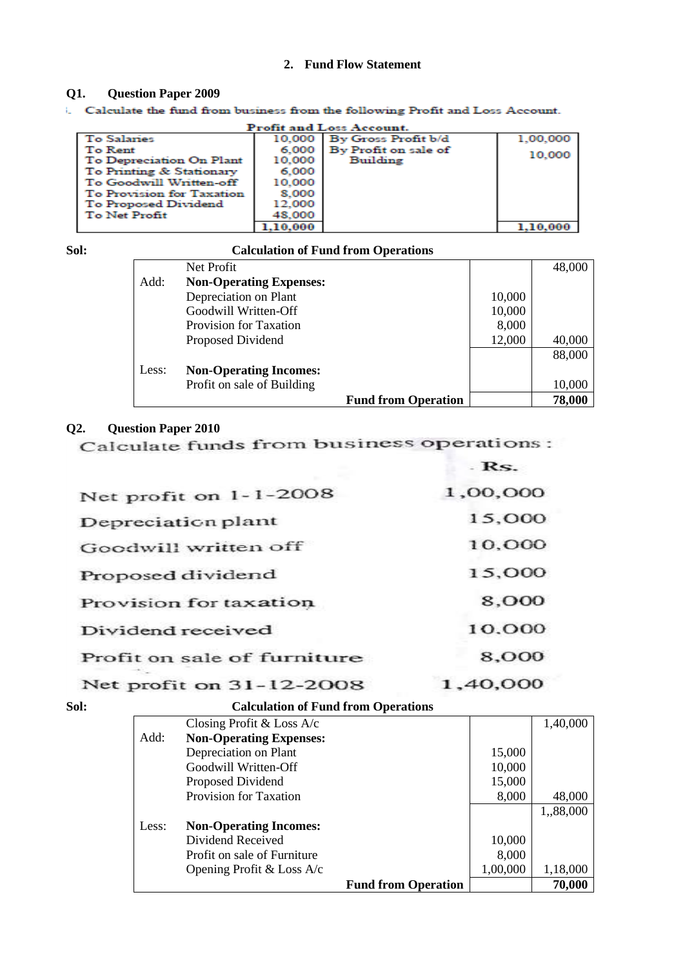# **2. Fund Flow Statement**

### **Q1. Question Paper 2009**

i. Calculate the fund from business from the following Profit and Loss Account.

| <b>Profit and Loss Account.</b> |        |                            |          |  |  |  |
|---------------------------------|--------|----------------------------|----------|--|--|--|
| <b>To Salaries</b>              |        | 10.000 By Gross Profit b/d | 1.00.000 |  |  |  |
| To Rent                         |        | 6.000 By Profit on sale of | 10,000   |  |  |  |
| To Depreciation On Plant        | 10,000 | Building                   |          |  |  |  |
| To Printing & Stationary        | 6,000  |                            |          |  |  |  |
| To Goodwill Written-off         | 10,000 |                            |          |  |  |  |
| To Provision for Taxation       | 8.000  |                            |          |  |  |  |
| To Proposed Dividend            | 12.000 |                            |          |  |  |  |
| To Net Profit                   | 48,000 |                            |          |  |  |  |
|                                 |        |                            |          |  |  |  |

| Sol: |       | <b>Calculation of Fund from Operations</b> |                            |        |        |
|------|-------|--------------------------------------------|----------------------------|--------|--------|
|      |       | Net Profit                                 |                            |        | 48,000 |
|      | Add:  | <b>Non-Operating Expenses:</b>             |                            |        |        |
|      |       | Depreciation on Plant                      |                            | 10,000 |        |
|      |       | Goodwill Written-Off                       |                            | 10,000 |        |
|      |       | Provision for Taxation                     |                            | 8,000  |        |
|      |       | Proposed Dividend                          |                            | 12,000 | 40,000 |
|      |       |                                            |                            |        | 88,000 |
|      | Less: | <b>Non-Operating Incomes:</b>              |                            |        |        |
|      |       | Profit on sale of Building                 |                            |        | 10,000 |
|      |       |                                            | <b>Fund from Operation</b> |        | 78,000 |

**Contractor** 

**Q2. Question Paper 2010**

|                             | - RS.         |
|-----------------------------|---------------|
| Net profit on 1-1-2008      | 1,00,000      |
| Depreciation plant          | 15,000        |
| Goodwill written off        | 10,000        |
| Proposed dividend           | 15,000        |
| Provision for taxation      | 8,000         |
| Dividend received           | 10,000        |
| Profit on sale of furniture | 8,000         |
|                             | $\sim$ $\sim$ |

# **Net profit on 31-12-2008** 1,40,000<br>Sol: Calculation of Fund from Operations

|       | Calculation of Fund from Operations |                            |          |           |
|-------|-------------------------------------|----------------------------|----------|-----------|
|       | Closing Profit & Loss $A/c$         |                            |          | 1,40,000  |
| Add:  | <b>Non-Operating Expenses:</b>      |                            |          |           |
|       | Depreciation on Plant               |                            | 15,000   |           |
|       | Goodwill Written-Off                |                            | 10,000   |           |
|       | Proposed Dividend                   |                            | 15,000   |           |
|       | <b>Provision for Taxation</b>       |                            | 8,000    | 48,000    |
|       |                                     |                            |          | 1,,88,000 |
| Less: | <b>Non-Operating Incomes:</b>       |                            |          |           |
|       | Dividend Received                   |                            | 10,000   |           |
|       | Profit on sale of Furniture         |                            | 8,000    |           |
|       | Opening Profit & Loss A/c           |                            | 1,00,000 | 1,18,000  |
|       |                                     | <b>Fund from Operation</b> |          | 70,000    |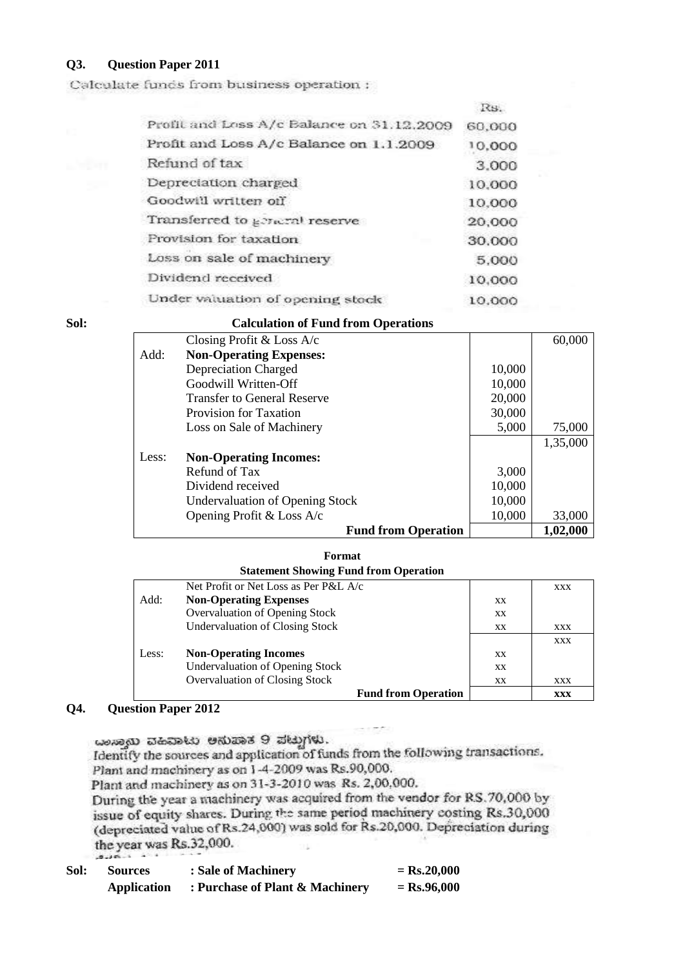# **Q3. Question Paper 2011**

Calculate funds from business operation :

|                                           | 15.    |
|-------------------------------------------|--------|
| Profit and Loss A/c Balance on 31.12.2009 | 60,000 |
| Profit and Loss A/c Balance on 1.1.2009   | 10,000 |
| Refund of tax                             | 3.000  |
| Depreciation charged                      | 10.000 |
| Goodwill written off                      | 10,000 |
| Transferred to general reserve            | 20,000 |
| Provision for taxation                    | 30.000 |
| Loss on sale of machinery                 | 5,000  |
| Dividend received                         | 10,000 |
| Under valuation of opening stock          | 10.000 |
|                                           |        |

### **Sol: Calculation of Fund from Operations**

| Closing Profit & Loss $A/c$            |        | 60,000   |
|----------------------------------------|--------|----------|
| Add:<br><b>Non-Operating Expenses:</b> |        |          |
| Depreciation Charged                   | 10,000 |          |
| Goodwill Written-Off                   | 10,000 |          |
| <b>Transfer to General Reserve</b>     | 20,000 |          |
| Provision for Taxation                 | 30,000 |          |
| Loss on Sale of Machinery              | 5,000  | 75,000   |
|                                        |        | 1,35,000 |
| Less:<br><b>Non-Operating Incomes:</b> |        |          |
| Refund of Tax                          | 3,000  |          |
| Dividend received                      | 10,000 |          |
| <b>Undervaluation of Opening Stock</b> | 10,000 |          |
| Opening Profit & Loss $A/c$            | 10,000 | 33,000   |
| <b>Fund from Operation</b>             |        | 1,02,000 |

### **Format**

### **Statement Showing Fund from Operation**

|       | Net Profit or Net Loss as Per P&L A/c  |           | XXX        |
|-------|----------------------------------------|-----------|------------|
| Add:  | <b>Non-Operating Expenses</b>          | XX.       |            |
|       | Overvaluation of Opening Stock         | XX.       |            |
|       | Undervaluation of Closing Stock        | XX        | XXX        |
|       |                                        |           | XXX        |
| Less: | <b>Non-Operating Incomes</b>           | <b>XX</b> |            |
|       | <b>Undervaluation of Opening Stock</b> | <b>XX</b> |            |
|       | Overvaluation of Closing Stock         | XX        | XXX        |
|       | <b>Fund from Operation</b>             |           | <b>XXX</b> |

### **Q4. Question Paper 2012**

ದಾಸ್ತಾಯಿ ವಹಿವಾಟು ಅನುಪಾತ 9 ಪಟ್ಟುಗಳು. Identify the sources and application of funds from the following transactions. Plant and machinery as on 1-4-2009 was Rs.90,000. Plant and machinery as on 31-3-2010 was Rs. 2,00,000. During the year a machinery was acquired from the vendor for RS.70,000 by issue of equity shares. During the same period machinery costing Rs.30,000 (depreciated value of Rs.24,000) was sold for Rs.20,000. Depreciation during the year was Rs.32,000. 'n  $-215 - 1$ 

| Sol: | Sources            | : Sale of Machinery             | $=$ Rs.20,000 |
|------|--------------------|---------------------------------|---------------|
|      | <b>Application</b> | : Purchase of Plant & Machinery | $=$ Rs.96,000 |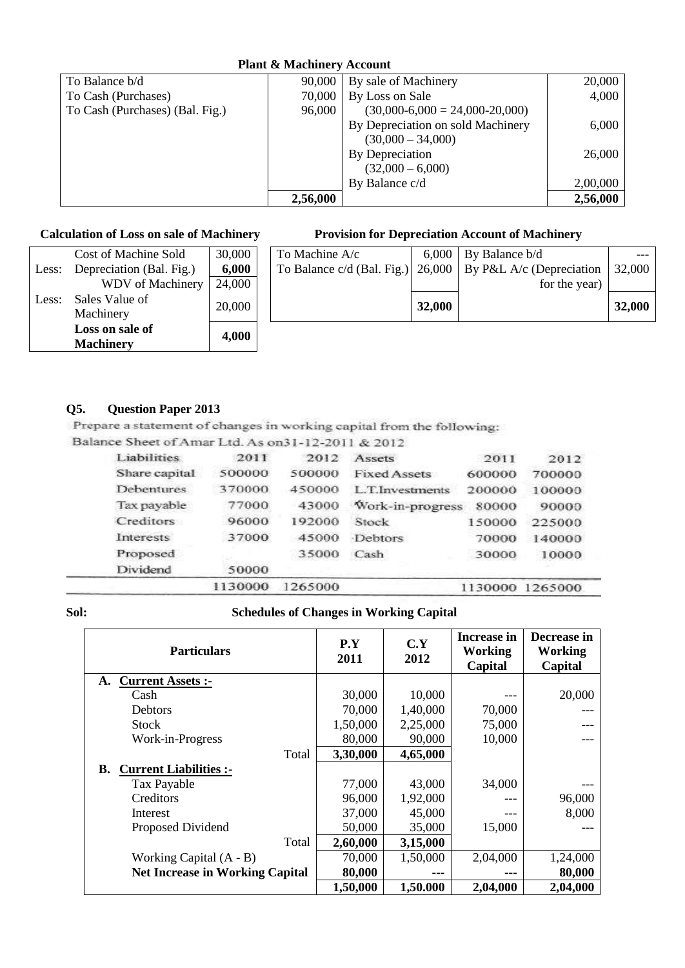| <b>Plant &amp; Machinery Account</b> |          |                                   |          |  |  |
|--------------------------------------|----------|-----------------------------------|----------|--|--|
| To Balance b/d                       | 90,000   | By sale of Machinery              | 20,000   |  |  |
| To Cash (Purchases)                  | 70,000   | By Loss on Sale                   | 4,000    |  |  |
| To Cash (Purchases) (Bal. Fig.)      | 96,000   | $(30,000-6,000 = 24,000-20,000)$  |          |  |  |
|                                      |          | By Depreciation on sold Machinery | 6,000    |  |  |
|                                      |          | $(30,000 - 34,000)$               |          |  |  |
|                                      |          | By Depreciation                   | 26,000   |  |  |
|                                      |          | $(32,000 - 6,000)$                |          |  |  |
|                                      |          | By Balance c/d                    | 2,00,000 |  |  |
|                                      | 2,56,000 |                                   | 2,56,000 |  |  |

|       | <b>Machinery</b>         | 4,000  |  |
|-------|--------------------------|--------|--|
|       | Loss on sale of          |        |  |
|       | Machinery                |        |  |
| Less: | Sales Value of           | 20,000 |  |
|       | <b>WDV</b> of Machinery  | 24,000 |  |
| Less: | Depreciation (Bal. Fig.) | 6,000  |  |
|       | Cost of Machine Sold     | 30,000 |  |

# **Calculation of Loss on sale of Machinery Provision for Depreciation Account of Machinery**

|       | Cost of Machine Sold     | 30,000 | To Machine A/c | 6,000  | By Balance b/d                                                             |        |
|-------|--------------------------|--------|----------------|--------|----------------------------------------------------------------------------|--------|
| Less: | Depreciation (Bal. Fig.) | 6,000  |                |        | To Balance c/d (Bal. Fig.) $\vert$ 26,000 $\vert$ By P&L A/c (Depreciation | 32,000 |
|       | <b>WDV</b> of Machinery  | 24,000 |                |        | for the year)                                                              |        |
| Less: | Sales Value of           | 20,000 |                | 32,000 |                                                                            | 32,000 |
|       | Machinery                |        |                |        |                                                                            |        |
|       | Loss on sale of          | 4.000  |                |        |                                                                            |        |
|       |                          |        |                |        |                                                                            |        |

**Q5. Question Paper 2013**

Balance Sheet of Amar Ltd. As on31-12-2011 & 2012

| Liabilities       | 2011    | 2012    | Assets              | 2011    | 2012    |
|-------------------|---------|---------|---------------------|---------|---------|
| Share capital     | 500000  | 500000  | <b>Fixed Assets</b> | 600000  | 700000  |
| <b>Debentures</b> | 370000  | 450000  | L.T.Investments     | 200000  | 100000  |
| Tax payable       | 77000   | 43000   | Work-in-progress    | 80000   | 90000   |
| Creditors         | 96000   | 192000  | Stock               | 150000  | 225000  |
| Interests         | 37000   | 45000   | <b>Debtors</b>      | 70000   | 140000  |
| Proposed          |         | 35000   | Cash                | 30000   | 10000   |
| Dividend          | 50000   |         |                     |         |         |
|                   | 1130000 | 1265000 |                     | 1130000 | 1265000 |

# **Sol: Schedules of Changes in Working Capital**

| <b>Particulars</b>                     | P.Y<br>2011 | C.Y<br>2012 | <b>Increase in</b><br>Working<br>Capital | Decrease in<br><b>Working</b><br>Capital |
|----------------------------------------|-------------|-------------|------------------------------------------|------------------------------------------|
| <b>Current Assets:-</b><br>A.          |             |             |                                          |                                          |
| Cash                                   | 30,000      | 10,000      |                                          | 20,000                                   |
| <b>Debtors</b>                         | 70,000      | 1,40,000    | 70,000                                   |                                          |
| <b>Stock</b>                           | 1,50,000    | 2,25,000    | 75,000                                   |                                          |
| Work-in-Progress                       | 80,000      | 90,000      | 10,000                                   |                                          |
| Total                                  | 3,30,000    | 4,65,000    |                                          |                                          |
| <b>Current Liabilities :-</b><br>В.    |             |             |                                          |                                          |
| Tax Payable                            | 77,000      | 43,000      | 34,000                                   |                                          |
| Creditors                              | 96,000      | 1,92,000    | ---                                      | 96,000                                   |
| Interest                               | 37,000      | 45,000      | ---                                      | 8,000                                    |
| Proposed Dividend                      | 50,000      | 35,000      | 15,000                                   |                                          |
| Total                                  | 2,60,000    | 3,15,000    |                                          |                                          |
| Working Capital $(A - B)$              | 70,000      | 1,50,000    | 2,04,000                                 | 1,24,000                                 |
| <b>Net Increase in Working Capital</b> | 80,000      |             |                                          | 80,000                                   |
|                                        | 1,50,000    | 1,50.000    | 2,04,000                                 | 2,04,000                                 |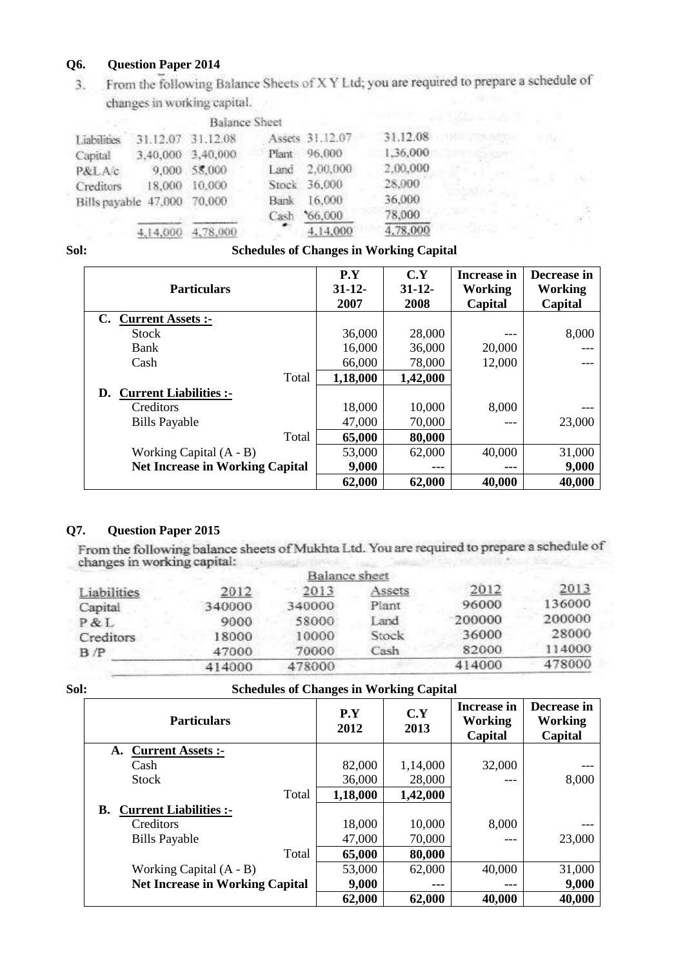Q6. Question Paper 2014<br>3. From the following Balance Sheets of X Y Ltd; you are required to prepare a schedule of  $3.$ changes in working capital.

|                             |                   | <b>Balance Sheet</b> |             |                 |          |  |
|-----------------------------|-------------------|----------------------|-------------|-----------------|----------|--|
| Liabilities                 |                   | 31.12.07 31.12.08    |             | Assets 31.12.07 | 31.12.08 |  |
| Capital                     | 3,40,000 3,40,000 |                      | Plant       | 96,000          | 1,36,000 |  |
| P&LAc                       |                   | 9,000 58,000         | Land        | 2,00,000        | 2.00.000 |  |
| Creditors                   | 18,000 10,000     |                      |             | Stock 36,000    | 28,000   |  |
| Bills payable 47,000 70,000 |                   |                      | <b>Bank</b> | 16,000          | 36,000   |  |
|                             |                   |                      | Cash        | 66,000          | 78,000   |  |
|                             | 4.14,000          | 4,78,000             |             | 4,14,000        | 4,78,000 |  |

# **Sol: Schedules of Changes in Working Capital**

| <b>Particulars</b>                     | P.Y<br>$31 - 12$<br>2007 | C.Y<br>$31 - 12$<br>2008 | Increase in<br>Working<br>Capital | Decrease in<br><b>Working</b><br>Capital |
|----------------------------------------|--------------------------|--------------------------|-----------------------------------|------------------------------------------|
| <b>Current Assets:-</b><br>C.          |                          |                          |                                   |                                          |
| Stock                                  | 36,000                   | 28,000                   |                                   | 8,000                                    |
| Bank                                   | 16,000                   | 36,000                   | 20,000                            |                                          |
| Cash                                   | 66,000                   | 78,000                   | 12,000                            |                                          |
| Total                                  | 1,18,000                 | 1,42,000                 |                                   |                                          |
| <b>Current Liabilities:-</b><br>D.     |                          |                          |                                   |                                          |
| Creditors                              | 18,000                   | 10,000                   | 8,000                             |                                          |
| <b>Bills Payable</b>                   | 47,000                   | 70,000                   |                                   | 23,000                                   |
| Total                                  | 65,000                   | 80,000                   |                                   |                                          |
| Working Capital $(A - B)$              | 53,000                   | 62,000                   | 40,000                            | 31,000                                   |
| <b>Net Increase in Working Capital</b> | 9,000                    |                          | ---                               | 9,000                                    |
|                                        | 62,000                   | 62,000                   | 40,000                            | 40,000                                   |

**Q7. Question Paper 2015** changes in working capital: **The Contract Contract** 

|             |        | Balance sheet |        |        |        |
|-------------|--------|---------------|--------|--------|--------|
| Liabilities | 2012   | 2013          | Assets | 2012   | 2013   |
| Capital     | 340000 | 340000        | Plant  | 96000  | 136000 |
| P&L         | 9000   | 58000         | Land   | 200000 | 200000 |
| Creditors   | 18000  | 10000         | Stock  | 36000  | 28000  |
| B /P        | 47000  | 70000         | Cash   | 82000  | 114000 |
|             | 414000 | 478000        |        | 414000 | 478000 |
|             |        |               |        |        |        |

# **Sol: Schedules of Changes in Working Capital**

| <b>Particulars</b>                     | P.Y<br>2012 | C.Y<br>2013 | <b>Increase in</b><br>Working<br>Capital | Decrease in<br>Working<br>Capital |
|----------------------------------------|-------------|-------------|------------------------------------------|-----------------------------------|
| <b>Current Assets:-</b><br>А.          |             |             |                                          |                                   |
| Cash                                   | 82,000      | 1,14,000    | 32,000                                   |                                   |
| <b>Stock</b>                           | 36,000      | 28,000      |                                          | 8,000                             |
| Total                                  | 1,18,000    | 1,42,000    |                                          |                                   |
| <b>Current Liabilities :-</b><br>В.    |             |             |                                          |                                   |
| Creditors                              | 18,000      | 10,000      | 8,000                                    |                                   |
| <b>Bills Payable</b>                   | 47,000      | 70,000      | $---$                                    | 23,000                            |
| Total                                  | 65,000      | 80,000      |                                          |                                   |
| Working Capital $(A - B)$              | 53,000      | 62,000      | 40,000                                   | 31,000                            |
| <b>Net Increase in Working Capital</b> | 9,000       |             | ---                                      | 9,000                             |
|                                        | 62,000      | 62,000      | 40,000                                   | 40,000                            |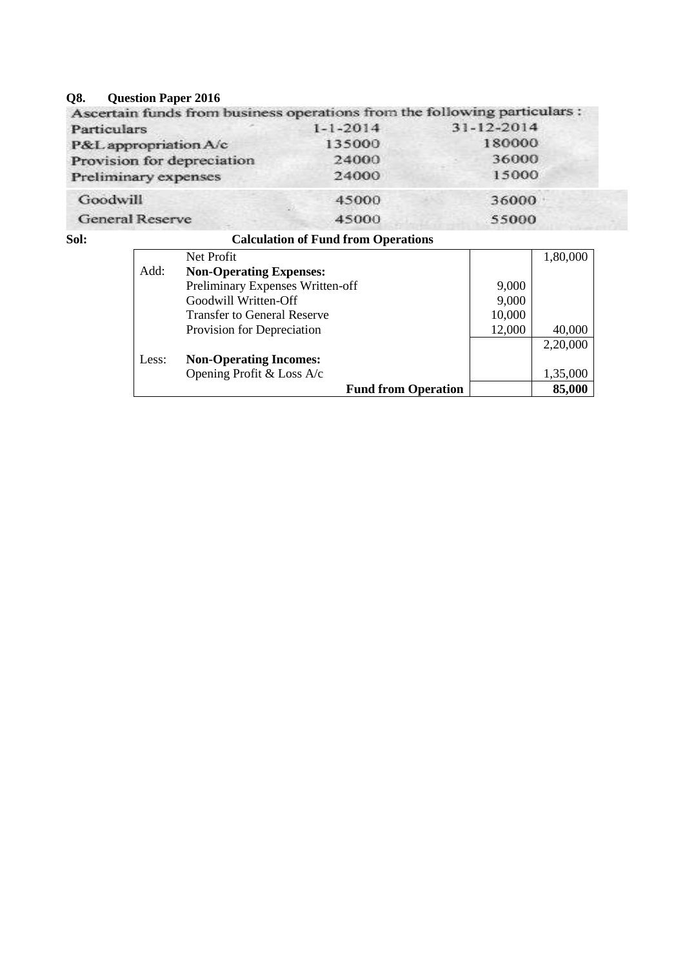# **Q8. Question Paper 2016**

|                | Ascertain funds from business operations from the following particulars : |
|----------------|---------------------------------------------------------------------------|
| $1 - 1 - 2014$ | 31-12-2014                                                                |
| 135000         | 180000                                                                    |
| 24000          | 36000                                                                     |
| 24000          | 15000                                                                     |
| 45000          | 36000                                                                     |
| 45000          | 55000                                                                     |
|                |                                                                           |

# **Sol: Calculation of Fund from Operations**

|       | Net Profit                         |        | 1,80,000 |
|-------|------------------------------------|--------|----------|
| Add:  | <b>Non-Operating Expenses:</b>     |        |          |
|       | Preliminary Expenses Written-off   | 9,000  |          |
|       | Goodwill Written-Off               | 9,000  |          |
|       | <b>Transfer to General Reserve</b> | 10,000 |          |
|       | Provision for Depreciation         | 12,000 | 40,000   |
|       |                                    |        | 2,20,000 |
| Less: | <b>Non-Operating Incomes:</b>      |        |          |
|       | Opening Profit & Loss A/c          |        | 1,35,000 |
|       | <b>Fund from Operation</b>         |        | 85,000   |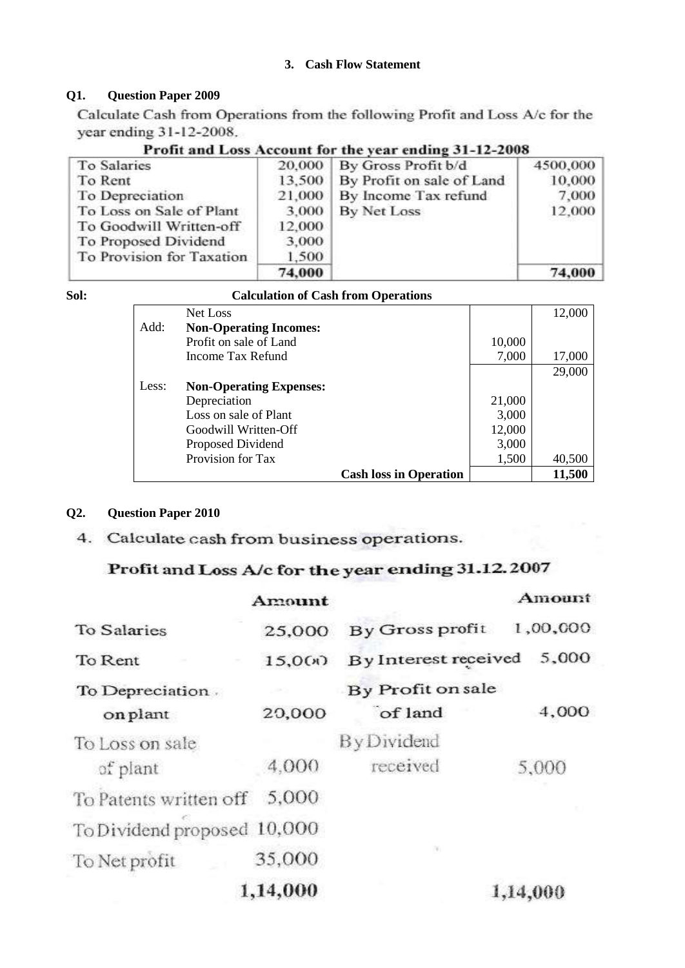# **3. Cash Flow Statement**

# **Q1. Question Paper 2009**

Calculate Cash from Operations from the following Profit and Loss A/c for the year ending 31-12-2008.

**To Salaries** 20,000 By Gross Profit b/d 4500,000 10,000 To Rent 13,500 By Profit on sale of Land To Depreciation 21,000 By Income Tax refund 7,000 To Loss on Sale of Plant 3.000 **By Net Loss** 12,000 To Goodwill Written-off 12,000 To Proposed Dividend 3,000 To Provision for Taxation 1,500 74,000 74,000

| Profit and Loss Account for the year ending 31-12-2008 |  |  |  |  |
|--------------------------------------------------------|--|--|--|--|
|--------------------------------------------------------|--|--|--|--|

| I<br>×<br>I<br>۰.<br>۰.<br>$\sim$ | $\sim$ |
|-----------------------------------|--------|

### **Sol: Calculation of Cash from Operations**

|       | Net Loss                       |        | 12,000 |
|-------|--------------------------------|--------|--------|
| Add:  | <b>Non-Operating Incomes:</b>  |        |        |
|       | Profit on sale of Land         | 10,000 |        |
|       | Income Tax Refund              | 7,000  | 17,000 |
|       |                                |        | 29,000 |
| Less: | <b>Non-Operating Expenses:</b> |        |        |
|       | Depreciation                   | 21,000 |        |
|       | Loss on sale of Plant          | 3,000  |        |
|       | Goodwill Written-Off           | 12,000 |        |
|       | Proposed Dividend              | 3,000  |        |
|       | Provision for Tax              | 1,500  | 40,500 |
|       | <b>Cash loss in Operation</b>  |        | 11,500 |

### **Q2. Question Paper 2010**

4. Calculate cash from business operations.

# Profit and Loss A/c for the year ending 31.12.2007

|                             | Amount   |                      | Amount   |
|-----------------------------|----------|----------------------|----------|
| To Salaries                 | 25,000   | By Gross profit      | 1,00,000 |
| To Rent                     | 15,000   | By Interest received | 5,000    |
| To Depreciation.            |          | By Profit on sale    |          |
| on plant                    | 20,000   | of land              | 4,000    |
| To Loss on sale             |          | By Dividend          |          |
| of plant                    | 4.000    | received             | 5,000    |
| To Patents written of 5,000 |          |                      |          |
| To Dividend proposed 10,000 |          |                      |          |
| To Net profit               | 35,000   | ×                    |          |
|                             | 1,14,000 |                      | 1,14,000 |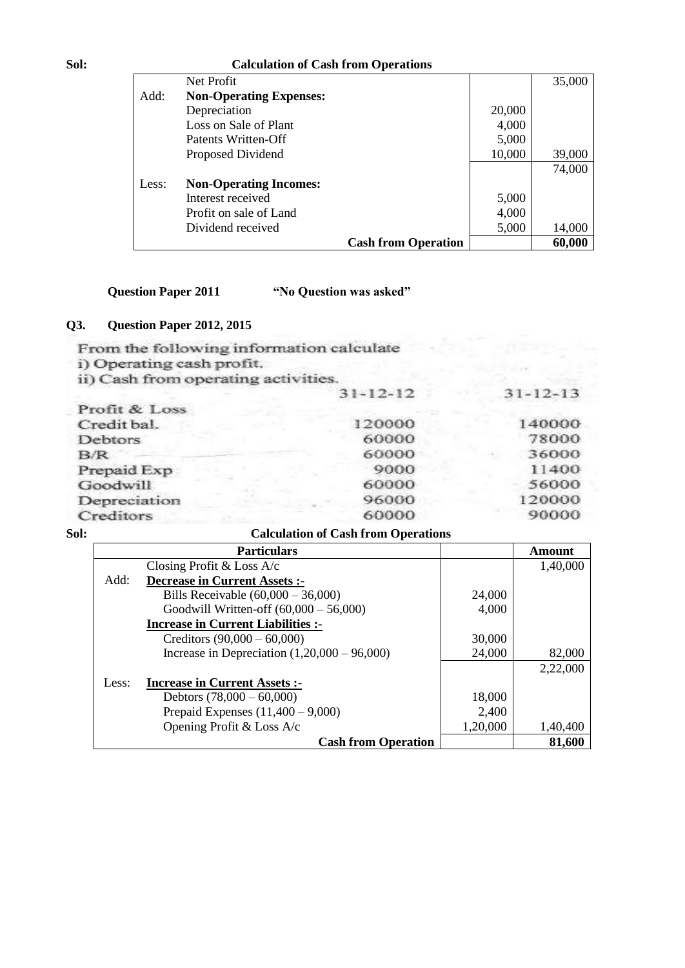### **Sol: Calculation of Cash from Operations**

|       | Net Profit                     |        | 35,000 |
|-------|--------------------------------|--------|--------|
| Add:  | <b>Non-Operating Expenses:</b> |        |        |
|       | Depreciation                   | 20,000 |        |
|       | Loss on Sale of Plant          | 4,000  |        |
|       | Patents Written-Off            | 5,000  |        |
|       | Proposed Dividend              | 10,000 | 39,000 |
|       |                                |        | 74,000 |
| Less: | <b>Non-Operating Incomes:</b>  |        |        |
|       | Interest received              | 5,000  |        |
|       | Profit on sale of Land         | 4,000  |        |
|       | Dividend received              | 5,000  | 14,000 |
|       | <b>Cash from Operation</b>     |        | 60,000 |

**Question Paper 2011 "No Question was asked"**

# **Q3. Question Paper 2012, 2015**

From the following information calculate i) Operating cash profit. ii) Cash from operating activities.  $31 - 12 - 12$ Profit & Loss Ċ E

 $31 - 12 - 13$ 

| L'IVIII OC LADO |        |        |
|-----------------|--------|--------|
| Credit bal.     | 120000 | 140000 |
| <b>Debtors</b>  | 60000  | 78000  |
| B/R             | 60000  | 36000  |
| Prepaid Exp     | 9000   | 11400  |
| Goodwill        | 60000  | 56000  |
| Depreciation    | 96000  | 120000 |
| Creditors       | 60000  | 90000  |
|                 |        |        |

### **Calculation of Cash from Operations**

|       | <b>Particulars</b>                             |          | Amount   |
|-------|------------------------------------------------|----------|----------|
|       | Closing Profit & Loss $A/c$                    |          | 1,40,000 |
| Add:  | <b>Decrease in Current Assets:-</b>            |          |          |
|       | Bills Receivable $(60,000 - 36,000)$           | 24,000   |          |
|       | Goodwill Written-off $(60,000 - 56,000)$       | 4,000    |          |
|       | <b>Increase in Current Liabilities :-</b>      |          |          |
|       | Creditors $(90,000 - 60,000)$                  | 30,000   |          |
|       | Increase in Depreciation $(1,20,000 - 96,000)$ | 24,000   | 82,000   |
|       |                                                |          | 2,22,000 |
| Less: | <b>Increase in Current Assets:</b>             |          |          |
|       | Debtors $(78,000 - 60,000)$                    | 18,000   |          |
|       | Prepaid Expenses $(11,400 - 9,000)$            | 2,400    |          |
|       | Opening Profit & Loss A/c                      | 1,20,000 | 1,40,400 |
|       | <b>Cash from Operation</b>                     |          | 81,600   |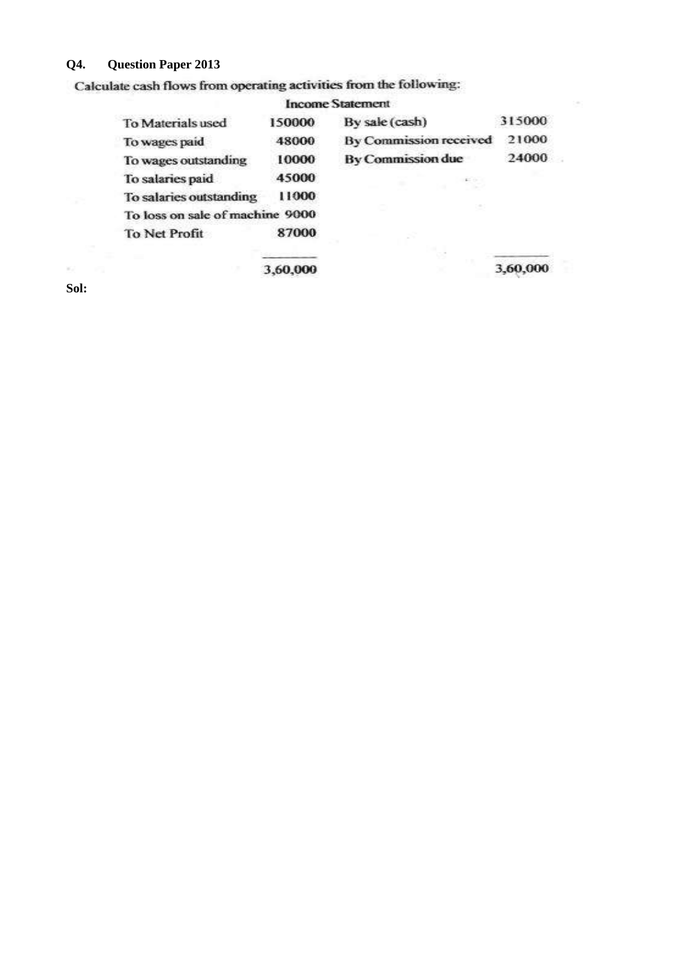# **Q4. Question Paper 2013**

Calculate cash flows from operating activities from the following:

|                                 |        | <b>Income Statement</b>       |        |  |
|---------------------------------|--------|-------------------------------|--------|--|
| To Materials used               | 150000 | By sale (cash)                | 315000 |  |
| To wages paid                   | 48000  | <b>By Commission received</b> | 21000  |  |
| To wages outstanding            | 10000  | <b>By Commission due</b>      | 24000  |  |
| To salaries paid                | 45000  |                               |        |  |
| To salaries outstanding         | 11000  |                               |        |  |
| To loss on sale of machine 9000 |        |                               |        |  |
| To Net Profit                   | 87000  |                               |        |  |
|                                 |        |                               |        |  |

3,60,000

**Sol:**

 $\omega = \omega$ 

 $3,60,000$ 

t a